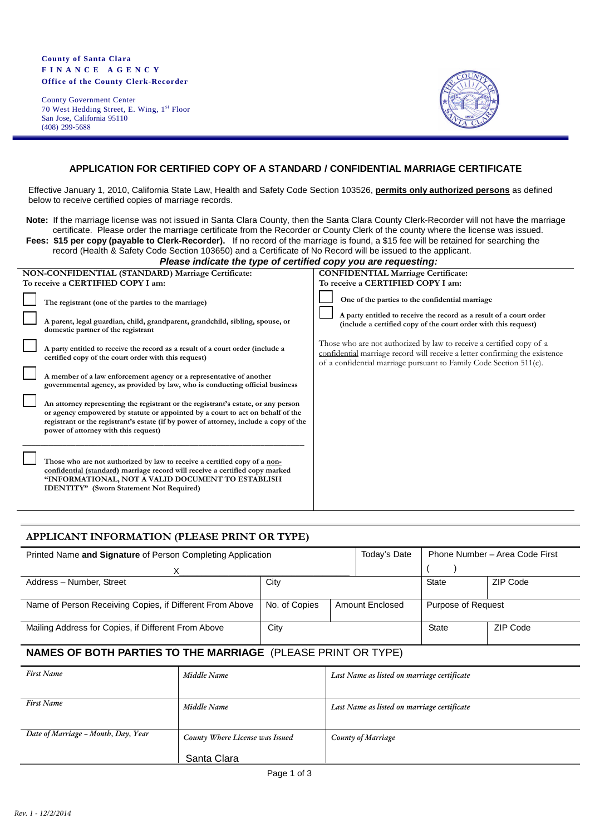#### **County of Santa Clara F I N A N C E A G E N C Y Office of the County Clerk-Recorder**

County Government Center 70 West Hedding Street, E. Wing, 1st Floor San Jose, California 95110 (408) 299-5688



## **APPLICATION FOR CERTIFIED COPY OF A STANDARD / CONFIDENTIAL MARRIAGE CERTIFICATE**

Effective January 1, 2010, California State Law, Health and Safety Code Section 103526, **permits only authorized persons** as defined below to receive certified copies of marriage records.

**Note:** If the marriage license was not issued in Santa Clara County, then the Santa Clara County Clerk-Recorder will not have the marriage certificate. Please order the marriage certificate from the Recorder or County Clerk of the county where the license was issued. **Fees: \$15 per copy (payable to Clerk-Recorder).** If no record of the marriage is found, a \$15 fee will be retained for searching the

| Plaseo indicato the tupe of cortified conveyou are requesting:                                                           |
|--------------------------------------------------------------------------------------------------------------------------|
| record (Health & Safety Code Section 103650) and a Certificate of No Record will be issued to the applicant.             |
| <b>I GOS. THE COPY (Payable to OleTA-Recorder).</b> If he record of the manage is found, a the recorded to searching the |

| rease marcate the type or certified copy you are requesting.                                                                                                                                                                                                                                         |                                                                                                                                                                                                                           |
|------------------------------------------------------------------------------------------------------------------------------------------------------------------------------------------------------------------------------------------------------------------------------------------------------|---------------------------------------------------------------------------------------------------------------------------------------------------------------------------------------------------------------------------|
| NON-CONFIDENTIAL (STANDARD) Marriage Certificate:                                                                                                                                                                                                                                                    | <b>CONFIDENTIAL Marriage Certificate:</b>                                                                                                                                                                                 |
| To receive a CERTIFIED COPY I am:                                                                                                                                                                                                                                                                    | To receive a CERTIFIED COPY I am:                                                                                                                                                                                         |
| The registrant (one of the parties to the marriage)<br>A parent, legal guardian, child, grandparent, grandchild, sibling, spouse, or<br>domestic partner of the registrant                                                                                                                           | One of the parties to the confidential marriage<br>A party entitled to receive the record as a result of a court order<br>(include a certified copy of the court order with this request)                                 |
| A party entitled to receive the record as a result of a court order (include a<br>certified copy of the court order with this request)                                                                                                                                                               | Those who are not authorized by law to receive a certified copy of a<br>confidential marriage record will receive a letter confirming the existence<br>of a confidential marriage pursuant to Family Code Section 511(c). |
| A member of a law enforcement agency or a representative of another<br>governmental agency, as provided by law, who is conducting official business                                                                                                                                                  |                                                                                                                                                                                                                           |
| An attorney representing the registrant or the registrant's estate, or any person<br>or agency empowered by statute or appointed by a court to act on behalf of the<br>registrant or the registrant's estate (if by power of attorney, include a copy of the<br>power of attorney with this request) |                                                                                                                                                                                                                           |
| Those who are not authorized by law to receive a certified copy of a non-<br>confidential (standard) marriage record will receive a certified copy marked<br>"INFORMATIONAL, NOT A VALID DOCUMENT TO ESTABLISH<br><b>IDENTITY"</b> (Sworn Statement Not Required)                                    |                                                                                                                                                                                                                           |

### **APPLICANT INFORMATION (PLEASE PRINT OR TYPE)**

| Printed Name and Signature of Person Completing Application | Today's Date  |  | Phone Number - Area Code First |                    |          |
|-------------------------------------------------------------|---------------|--|--------------------------------|--------------------|----------|
|                                                             |               |  |                                |                    |          |
| Address - Number, Street                                    | City          |  |                                | <b>State</b>       | ZIP Code |
|                                                             |               |  |                                |                    |          |
| Name of Person Receiving Copies, if Different From Above    | No. of Copies |  | <b>Amount Enclosed</b>         | Purpose of Request |          |
| Mailing Address for Copies, if Different From Above         | City          |  |                                | <b>State</b>       | ZIP Code |

## **NAMES OF BOTH PARTIES TO THE MARRIAGE** (PLEASE PRINT OR TYPE)

| <b>First Name</b>                   | Middle Name                     | Last Name as listed on marriage certificate |
|-------------------------------------|---------------------------------|---------------------------------------------|
|                                     |                                 |                                             |
| <b>First Name</b>                   | Middle Name                     | Last Name as listed on marriage certificate |
|                                     |                                 |                                             |
| Date of Marriage - Month, Day, Year | County Where License was Issued | County of Marriage                          |
|                                     | Santa Clara                     |                                             |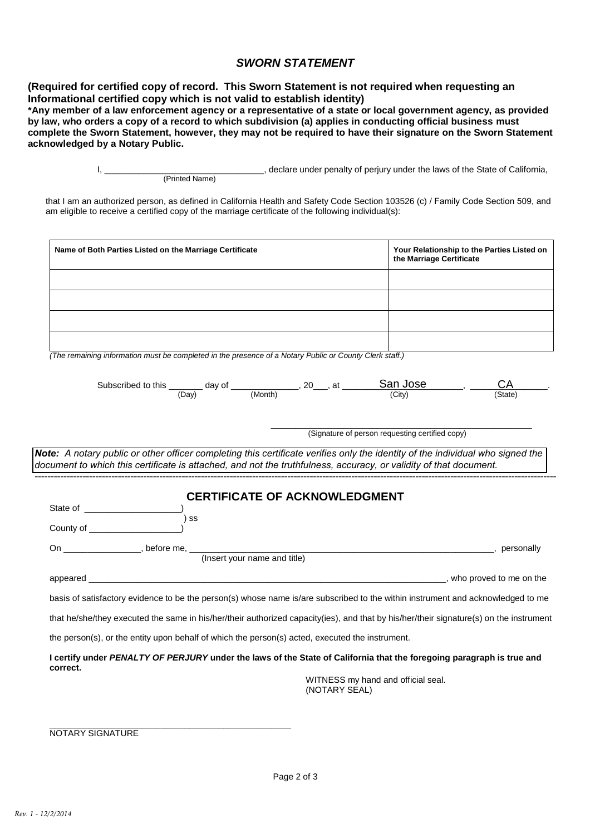# *SWORN STATEMENT*

**(Required for certified copy of record. This Sworn Statement is not required when requesting an Informational certified copy which is not valid to establish identity)**

**\*Any member of a law enforcement agency or a representative of a state or local government agency, as provided by law, who orders a copy of a record to which subdivision (a) applies in conducting official business must complete the Sworn Statement, however, they may not be required to have their signature on the Sworn Statement acknowledged by a Notary Public.**

> I, \_\_\_\_\_\_\_\_\_\_\_\_\_\_\_\_\_\_\_\_\_\_\_\_\_\_\_\_\_\_\_\_\_, declare under penalty of perjury under the laws of the State of California, (Printed Name)

that I am an authorized person, as defined in California Health and Safety Code Section 103526 (c) / Family Code Section 509, and am eligible to receive a certified copy of the marriage certificate of the following individual(s):

| Name of Both Parties Listed on the Marriage Certificate                                                                                                                                                                                             | Your Relationship to the Parties Listed on<br>the Marriage Certificate |
|-----------------------------------------------------------------------------------------------------------------------------------------------------------------------------------------------------------------------------------------------------|------------------------------------------------------------------------|
|                                                                                                                                                                                                                                                     |                                                                        |
|                                                                                                                                                                                                                                                     |                                                                        |
|                                                                                                                                                                                                                                                     |                                                                        |
|                                                                                                                                                                                                                                                     |                                                                        |
| (The remaining information must be completed in the presence of a Notary Public or County Clerk staff.)                                                                                                                                             |                                                                        |
| Subscribed to this $\underbrace{\hspace{2cm}}_{(Day)}$ day of $\underbrace{\hspace{2cm}}_{(Month)}$ , 20, at $\underbrace{\hspace{2cm}}$ San Jose (City)                                                                                            |                                                                        |
|                                                                                                                                                                                                                                                     | (State)                                                                |
|                                                                                                                                                                                                                                                     | (Signature of person requesting certified copy)                        |
|                                                                                                                                                                                                                                                     |                                                                        |
| Note: A notary public or other officer completing this certificate verifies only the identity of the individual who signed the<br>document to which this certificate is attached, and not the truthfulness, accuracy, or validity of that document. |                                                                        |
|                                                                                                                                                                                                                                                     |                                                                        |
|                                                                                                                                                                                                                                                     |                                                                        |
| <b>CERTIFICATE OF ACKNOWLEDGMENT</b>                                                                                                                                                                                                                |                                                                        |
| $\overline{\phantom{a}}$ ss                                                                                                                                                                                                                         |                                                                        |
|                                                                                                                                                                                                                                                     |                                                                        |
| On ___________________, before me, ____<br>(Insert your name and title)                                                                                                                                                                             |                                                                        |
|                                                                                                                                                                                                                                                     |                                                                        |
| basis of satisfactory evidence to be the person(s) whose name is/are subscribed to the within instrument and acknowledged to me                                                                                                                     |                                                                        |
| that he/she/they executed the same in his/her/their authorized capacity(ies), and that by his/her/their signature(s) on the instrument                                                                                                              |                                                                        |
| the person(s), or the entity upon behalf of which the person(s) acted, executed the instrument.                                                                                                                                                     |                                                                        |
| I certify under PENALTY OF PERJURY under the laws of the State of California that the foregoing paragraph is true and<br>correct.                                                                                                                   |                                                                        |

NOTARY SIGNATURE

\_\_\_\_\_\_\_\_\_\_\_\_\_\_\_\_\_\_\_\_\_\_\_\_\_\_\_\_\_\_\_\_\_\_\_\_\_\_\_\_\_\_\_\_\_\_\_\_\_\_